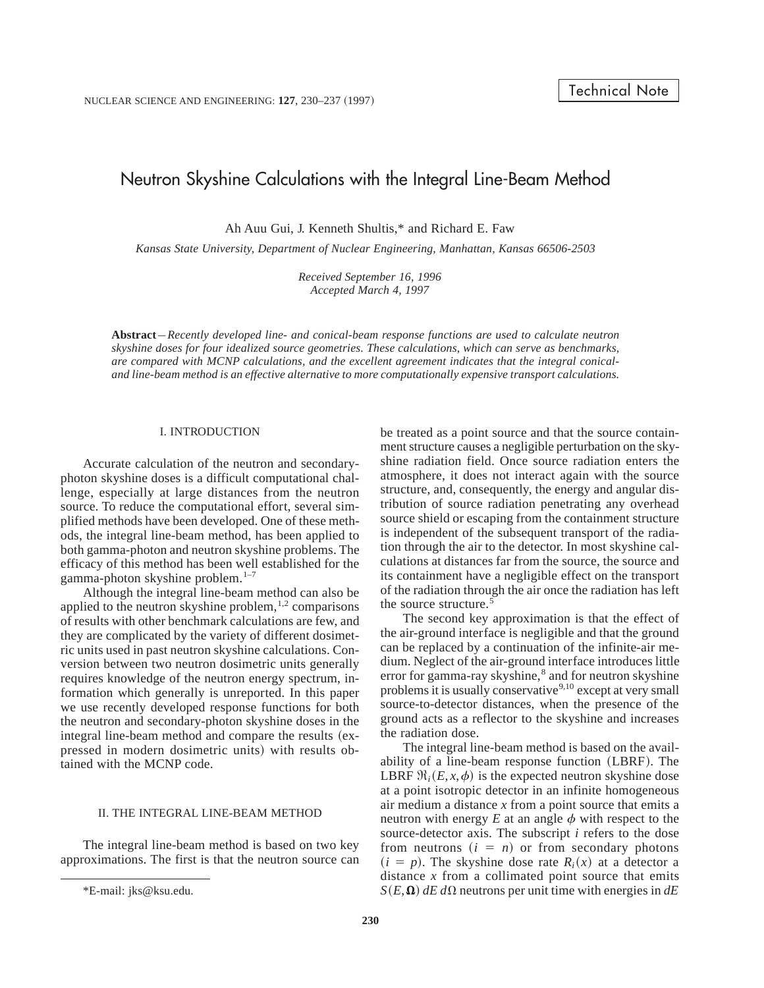# Neutron Skyshine Calculations with the Integral Line-Beam Method

Ah Auu Gui, J. Kenneth Shultis,\* and Richard E. Faw

*Kansas State University, Department of Nuclear Engineering, Manhattan, Kansas 66506-2503*

*Received September 16, 1996 Accepted March 4, 1997*

**Abstract** –*Recently developed line- and conical-beam response functions are used to calculate neutron skyshine doses for four idealized source geometries. These calculations, which can serve as benchmarks, are compared with MCNP calculations, and the excellent agreement indicates that the integral conicaland line-beam method is an effective alternative to more computationally expensive transport calculations.*

#### I. INTRODUCTION

Accurate calculation of the neutron and secondaryphoton skyshine doses is a difficult computational challenge, especially at large distances from the neutron source. To reduce the computational effort, several simplified methods have been developed. One of these methods, the integral line-beam method, has been applied to both gamma-photon and neutron skyshine problems. The efficacy of this method has been well established for the gamma-photon skyshine problem.<sup>1-7</sup>

Although the integral line-beam method can also be applied to the neutron skyshine problem, $1,2$  comparisons of results with other benchmark calculations are few, and they are complicated by the variety of different dosimetric units used in past neutron skyshine calculations. Conversion between two neutron dosimetric units generally requires knowledge of the neutron energy spectrum, information which generally is unreported. In this paper we use recently developed response functions for both the neutron and secondary-photon skyshine doses in the integral line-beam method and compare the results (ex-pressed in modern dosimetric units) with results obtained with the MCNP code.

# II. THE INTEGRAL LINE-BEAM METHOD

The integral line-beam method is based on two key approximations. The first is that the neutron source can be treated as a point source and that the source containment structure causes a negligible perturbation on the skyshine radiation field. Once source radiation enters the atmosphere, it does not interact again with the source structure, and, consequently, the energy and angular distribution of source radiation penetrating any overhead source shield or escaping from the containment structure is independent of the subsequent transport of the radiation through the air to the detector. In most skyshine calculations at distances far from the source, the source and its containment have a negligible effect on the transport of the radiation through the air once the radiation has left the source structure.<sup>5</sup>

The second key approximation is that the effect of the air-ground interface is negligible and that the ground can be replaced by a continuation of the infinite-air medium. Neglect of the air-ground interface introduces little error for gamma-ray skyshine,<sup>8</sup> and for neutron skyshine problems it is usually conservative<sup>9,10</sup> except at very small source-to-detector distances, when the presence of the ground acts as a reflector to the skyshine and increases the radiation dose.

The integral line-beam method is based on the availability of a line-beam response function (LBRF). The LBRF  $\Re_i(E, x, \phi)$  is the expected neutron skyshine dose at a point isotropic detector in an infinite homogeneous air medium a distance *x* from a point source that emits a neutron with energy  $E$  at an angle  $\phi$  with respect to the source-detector axis. The subscript *i* refers to the dose from neutrons  $(i = n)$  or from secondary photons  $(i = p)$ . The skyshine dose rate  $R_i(x)$  at a detector a distance *x* from a collimated point source that emits \*E-mail: jks@ksu.edu. **S** $(E, \Omega)$  *dE d* $\Omega$  neutrons per unit time with energies in *dE*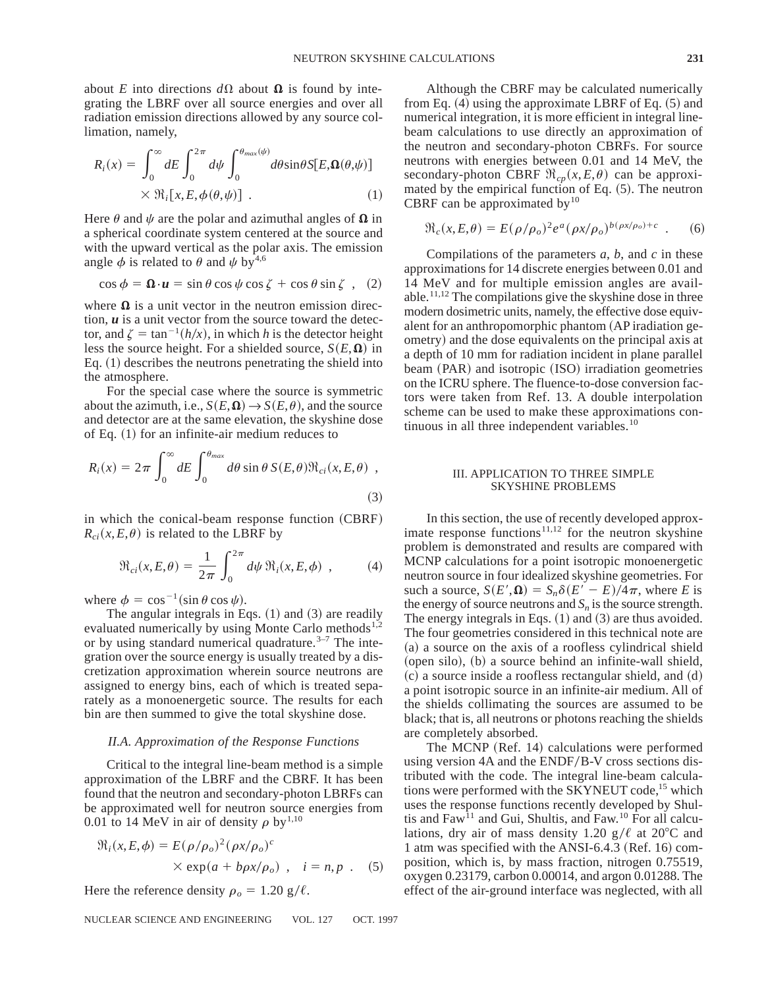about *E* into directions  $d\Omega$  about  $\Omega$  is found by integrating the LBRF over all source energies and over all radiation emission directions allowed by any source collimation, namely,

$$
R_i(x) = \int_0^\infty dE \int_0^{2\pi} d\psi \int_0^{\theta_{max}(\psi)} d\theta \sin \theta S[E, \mathbf{\Omega}(\theta, \psi)]
$$
  
  $\times \Re_i[x, E, \phi(\theta, \psi)]$  (1)

Here  $\theta$  and  $\psi$  are the polar and azimuthal angles of  $\Omega$  in a spherical coordinate system centered at the source and with the upward vertical as the polar axis. The emission angle  $\phi$  is related to  $\theta$  and  $\psi$  by<sup>4,6</sup>

$$
\cos \phi = \mathbf{\Omega} \cdot \mathbf{u} = \sin \theta \cos \psi \cos \zeta + \cos \theta \sin \zeta , \quad (2)
$$

where  $\Omega$  is a unit vector in the neutron emission direction, *u* is a unit vector from the source toward the detector, and  $\zeta = \tan^{-1}(h/x)$ , in which *h* is the detector height less the source height. For a shielded source,  $S(E, \Omega)$  in Eq.  $(1)$  describes the neutrons penetrating the shield into the atmosphere.

For the special case where the source is symmetric about the azimuth, i.e.,  $S(E, \Omega) \rightarrow S(E, \theta)$ , and the source and detector are at the same elevation, the skyshine dose of Eq.  $(1)$  for an infinite-air medium reduces to

$$
R_i(x) = 2\pi \int_0^\infty dE \int_0^{\theta_{max}} d\theta \sin \theta S(E, \theta) \Re_{ci}(x, E, \theta) ,
$$
\n(3)

in which the conical-beam response function (CBRF)  $R_{ci}(x, E, \theta)$  is related to the LBRF by

$$
\mathfrak{R}_{ci}(x,E,\theta) = \frac{1}{2\pi} \int_0^{2\pi} d\psi \, \mathfrak{R}_i(x,E,\phi) , \qquad (4)
$$

where  $\phi = \cos^{-1} (\sin \theta \cos \psi)$ .

The angular integrals in Eqs.  $(1)$  and  $(3)$  are readily evaluated numerically by using Monte Carlo methods $^{1,2}$ or by using standard numerical quadrature. $3-7$  The integration over the source energy is usually treated by a discretization approximation wherein source neutrons are assigned to energy bins, each of which is treated separately as a monoenergetic source. The results for each bin are then summed to give the total skyshine dose.

## *II.A. Approximation of the Response Functions*

Critical to the integral line-beam method is a simple approximation of the LBRF and the CBRF. It has been found that the neutron and secondary-photon LBRFs can be approximated well for neutron source energies from 0.01 to 14 MeV in air of density  $\rho$  by<sup>1,10</sup>

$$
\mathfrak{R}_i(x, E, \phi) = E(\rho/\rho_o)^2 (\rho x/\rho_o)^c
$$
  
× exp $(a + b\rho x/\rho_o)$ ,  $i = n, p$ . (5)

Here the reference density  $\rho_o = 1.20 \text{ g}/\ell$ .

NUCLEAR SCIENCE AND ENGINEERING VOL. 127 OCT. 1997

Although the CBRF may be calculated numerically from Eq.  $(4)$  using the approximate LBRF of Eq.  $(5)$  and numerical integration, it is more efficient in integral linebeam calculations to use directly an approximation of the neutron and secondary-photon CBRFs. For source neutrons with energies between 0.01 and 14 MeV, the secondary-photon CBRF  $\Re_{cp}(x, E, \theta)$  can be approximated by the empirical function of Eq.  $(5)$ . The neutron CBRF can be approximated by $10$ 

$$
\Re_c(x, E, \theta) = E(\rho/\rho_o)^2 e^a (\rho x/\rho_o)^{b(\rho x/\rho_o)+c} . \quad (6)
$$

Compilations of the parameters *a*, *b*, and *c* in these approximations for 14 discrete energies between 0.01 and 14 MeV and for multiple emission angles are available.<sup>11,12</sup> The compilations give the skyshine dose in three modern dosimetric units, namely, the effective dose equivalent for an anthropomorphic phantom (AP iradiation geometry) and the dose equivalents on the principal axis at a depth of 10 mm for radiation incident in plane parallel beam (PAR) and isotropic (ISO) irradiation geometries on the ICRU sphere. The fluence-to-dose conversion factors were taken from Ref. 13. A double interpolation scheme can be used to make these approximations continuous in all three independent variables.<sup>10</sup>

## III. APPLICATION TO THREE SIMPLE SKYSHINE PROBLEMS

In this section, the use of recently developed approximate response functions $11,12$  for the neutron skyshine problem is demonstrated and results are compared with MCNP calculations for a point isotropic monoenergetic neutron source in four idealized skyshine geometries. For such a source,  $S(E', \mathbf{\Omega}) = S_n \delta(E' - E)/4\pi$ , where *E* is the energy of source neutrons and  $S_n$  is the source strength. The energy integrals in Eqs.  $(1)$  and  $(3)$  are thus avoided. The four geometries considered in this technical note are  $(a)$  a source on the axis of a roofless cylindrical shield  $(\text{open silo})$ ,  $(b)$  a source behind an infinite-wall shield,  $\alpha$  a source inside a roofless rectangular shield, and  $\alpha$ a point isotropic source in an infinite-air medium. All of the shields collimating the sources are assumed to be black; that is, all neutrons or photons reaching the shields are completely absorbed.

The MCNP (Ref. 14) calculations were performed using version 4A and the ENDF/B-V cross sections distributed with the code. The integral line-beam calculations were performed with the SKYNEUT code,<sup>15</sup> which uses the response functions recently developed by Shultis and  $Faw^{11}$  and Gui, Shultis, and  $Faw^{10}$  For all calculations, dry air of mass density 1.20  $g/\ell$  at 20°C and 1 atm was specified with the ANSI-6.4.3 (Ref. 16) composition, which is, by mass fraction, nitrogen 0.75519, oxygen 0.23179, carbon 0.00014, and argon 0.01288. The effect of the air-ground interface was neglected, with all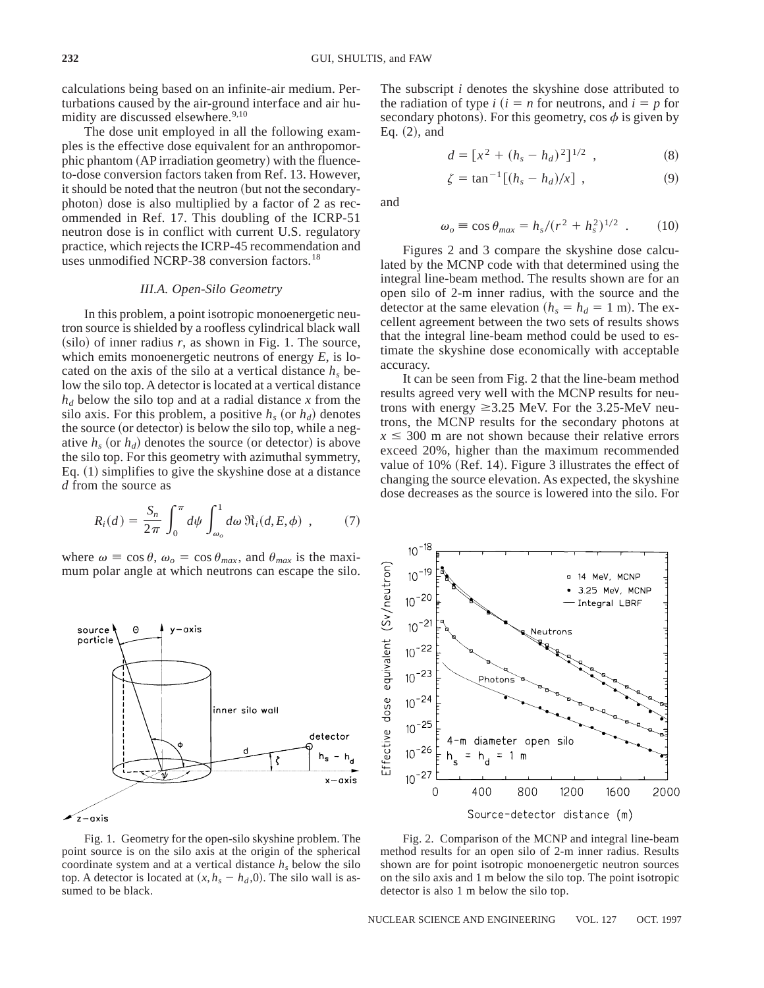calculations being based on an infinite-air medium. Perturbations caused by the air-ground interface and air humidity are discussed elsewhere.<sup>9,10</sup>

The dose unit employed in all the following examples is the effective dose equivalent for an anthropomorphic phantom (AP irradiation geometry) with the fluenceto-dose conversion factors taken from Ref. 13. However, it should be noted that the neutron (but not the secondaryphoton) dose is also multiplied by a factor of 2 as recommended in Ref. 17. This doubling of the ICRP-51 neutron dose is in conflict with current U.S. regulatory practice, which rejects the ICRP-45 recommendation and uses unmodified NCRP-38 conversion factors.<sup>18</sup>

#### *III.A. Open-Silo Geometry*

In this problem, a point isotropic monoenergetic neutron source is shielded by a roofless cylindrical black wall  $(silo)$  of inner radius  $r$ , as shown in Fig. 1. The source, which emits monoenergetic neutrons of energy *E*, is located on the axis of the silo at a vertical distance  $h<sub>s</sub>$  below the silo top. A detector is located at a vertical distance  $h_d$  below the silo top and at a radial distance x from the silo axis. For this problem, a positive  $h_s$  (or  $h_d$ ) denotes the source (or detector) is below the silo top, while a negative  $h_s$  (or  $h_d$ ) denotes the source (or detector) is above the silo top. For this geometry with azimuthal symmetry, Eq.  $(1)$  simplifies to give the skyshine dose at a distance *d* from the source as

$$
R_i(d) = \frac{S_n}{2\pi} \int_0^{\pi} d\psi \int_{\omega_o}^1 d\omega \, \Re_i(d, E, \phi) \quad , \tag{7}
$$

where  $\omega \equiv \cos \theta$ ,  $\omega_o = \cos \theta_{max}$ , and  $\theta_{max}$  is the maximum polar angle at which neutrons can escape the silo.



Fig. 1. Geometry for the open-silo skyshine problem. The point source is on the silo axis at the origin of the spherical coordinate system and at a vertical distance  $h<sub>s</sub>$  below the silo top. A detector is located at  $(x, h_s - h_d, 0)$ . The silo wall is assumed to be black.

The subscript *i* denotes the skyshine dose attributed to the radiation of type  $i$  ( $i = n$  for neutrons, and  $i = p$  for secondary photons). For this geometry, cos  $\phi$  is given by Eq.  $(2)$ , and

$$
d = [x^2 + (h_s - h_d)^2]^{1/2} , \qquad (8)
$$

$$
\zeta = \tan^{-1} \left[ (h_s - h_d) / x \right] , \qquad (9)
$$

and

$$
\omega_o \equiv \cos \theta_{max} = h_s/(r^2 + h_s^2)^{1/2} \quad . \tag{10}
$$

Figures 2 and 3 compare the skyshine dose calculated by the MCNP code with that determined using the integral line-beam method. The results shown are for an open silo of 2-m inner radius, with the source and the detector at the same elevation ( $h_s = h_d = 1$  m). The excellent agreement between the two sets of results shows that the integral line-beam method could be used to estimate the skyshine dose economically with acceptable accuracy.

It can be seen from Fig. 2 that the line-beam method results agreed very well with the MCNP results for neutrons with energy  $\geq 3.25$  MeV. For the 3.25-MeV neutrons, the MCNP results for the secondary photons at  $x \leq 300$  m are not shown because their relative errors exceed 20%, higher than the maximum recommended value of  $10\%$  (Ref. 14). Figure 3 illustrates the effect of changing the source elevation. As expected, the skyshine dose decreases as the source is lowered into the silo. For



Fig. 2. Comparison of the MCNP and integral line-beam method results for an open silo of 2-m inner radius. Results shown are for point isotropic monoenergetic neutron sources on the silo axis and 1 m below the silo top. The point isotropic detector is also 1 m below the silo top.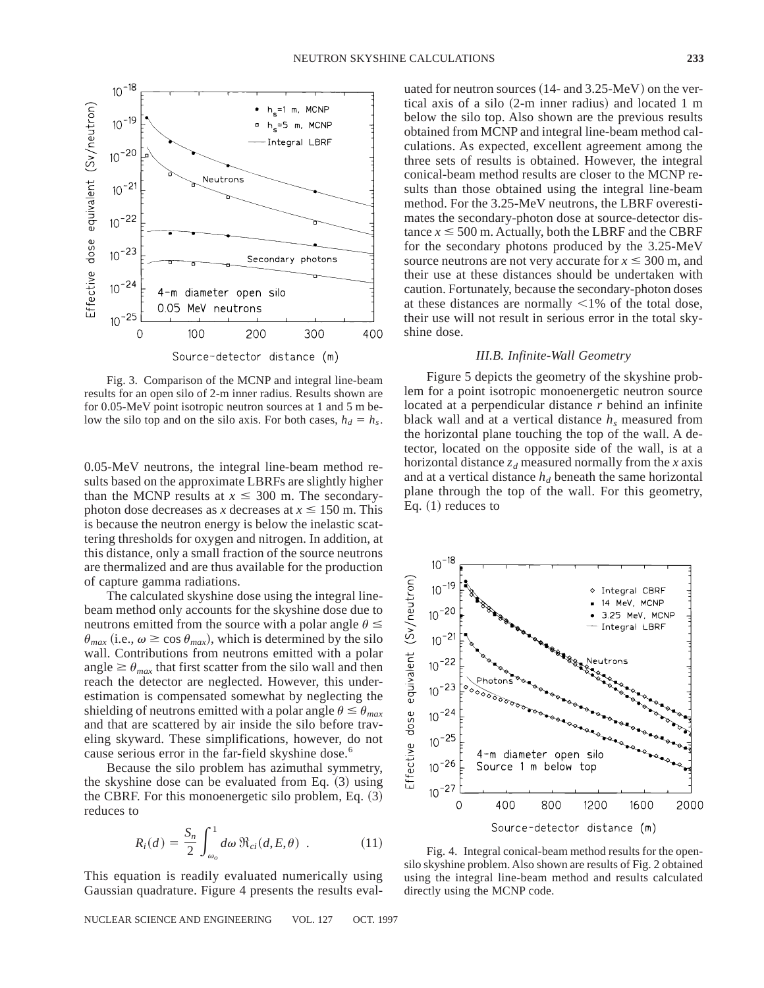

Fig. 3. Comparison of the MCNP and integral line-beam results for an open silo of 2-m inner radius. Results shown are for 0.05-MeV point isotropic neutron sources at 1 and 5 m below the silo top and on the silo axis. For both cases,  $h_d = h_s$ .

0.05-MeV neutrons, the integral line-beam method results based on the approximate LBRFs are slightly higher than the MCNP results at  $x \leq 300$  m. The secondaryphoton dose decreases as *x* decreases at  $x \le 150$  m. This is because the neutron energy is below the inelastic scattering thresholds for oxygen and nitrogen. In addition, at this distance, only a small fraction of the source neutrons are thermalized and are thus available for the production of capture gamma radiations.

The calculated skyshine dose using the integral linebeam method only accounts for the skyshine dose due to neutrons emitted from the source with a polar angle  $\theta \leq$  $\theta_{max}$  (i.e.,  $\omega \ge \cos \theta_{max}$ ), which is determined by the silo wall. Contributions from neutrons emitted with a polar angle  $\geq \theta_{max}$  that first scatter from the silo wall and then reach the detector are neglected. However, this underestimation is compensated somewhat by neglecting the shielding of neutrons emitted with a polar angle  $\theta \leq \theta_{max}$ and that are scattered by air inside the silo before traveling skyward. These simplifications, however, do not cause serious error in the far-field skyshine dose.<sup>6</sup>

Because the silo problem has azimuthal symmetry, the skyshine dose can be evaluated from Eq.  $(3)$  using the CBRF. For this monoenergetic silo problem, Eq.  $(3)$ reduces to

$$
R_i(d) = \frac{S_n}{2} \int_{\omega_o}^1 d\omega \, \Re_{ci}(d, E, \theta) \quad . \tag{11}
$$

This equation is readily evaluated numerically using Gaussian quadrature. Figure 4 presents the results eval-

uated for neutron sources  $(14-$  and  $3.25-MeV$ ) on the vertical axis of a silo  $(2-m)$  inner radius) and located 1 m below the silo top. Also shown are the previous results obtained from MCNP and integral line-beam method calculations. As expected, excellent agreement among the three sets of results is obtained. However, the integral conical-beam method results are closer to the MCNP results than those obtained using the integral line-beam method. For the 3.25-MeV neutrons, the LBRF overestimates the secondary-photon dose at source-detector distance  $x \le 500$  m. Actually, both the LBRF and the CBRF for the secondary photons produced by the 3.25-MeV source neutrons are not very accurate for  $x \le 300$  m, and their use at these distances should be undertaken with caution. Fortunately, because the secondary-photon doses at these distances are normally  $\leq 1\%$  of the total dose, their use will not result in serious error in the total skyshine dose.

## *III.B. Infinite-Wall Geometry*

Figure 5 depicts the geometry of the skyshine problem for a point isotropic monoenergetic neutron source located at a perpendicular distance *r* behind an infinite black wall and at a vertical distance  $h_s$  measured from the horizontal plane touching the top of the wall. A detector, located on the opposite side of the wall, is at a horizontal distance  $z_d$  measured normally from the *x* axis and at a vertical distance  $h_d$  beneath the same horizontal plane through the top of the wall. For this geometry, Eq.  $(1)$  reduces to



Fig. 4. Integral conical-beam method results for the opensilo skyshine problem. Also shown are results of Fig. 2 obtained using the integral line-beam method and results calculated directly using the MCNP code.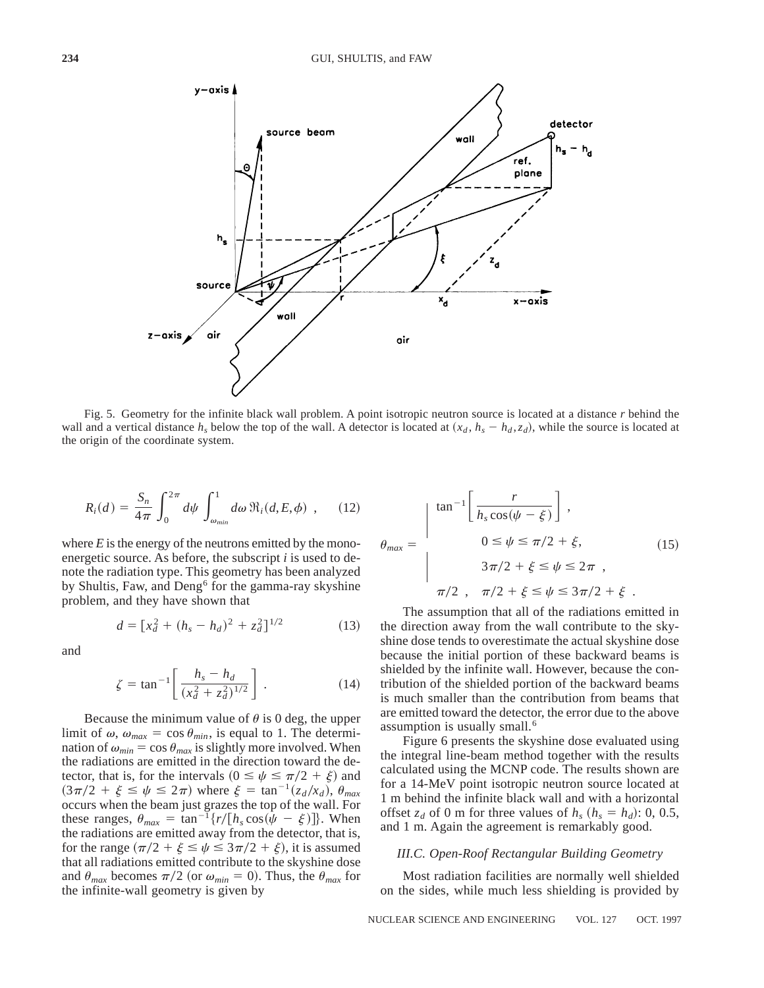

Fig. 5. Geometry for the infinite black wall problem. A point isotropic neutron source is located at a distance *r* behind the wall and a vertical distance  $h_s$  below the top of the wall. A detector is located at  $(x_d, h_s - h_d, z_d)$ , while the source is located at the origin of the coordinate system.

$$
R_i(d) = \frac{S_n}{4\pi} \int_0^{2\pi} d\psi \int_{\omega_{min}}^1 d\omega \, \Re_i(d, E, \phi) \quad , \quad (12)
$$

where  $E$  is the energy of the neutrons emitted by the monoenergetic source. As before, the subscript *i* is used to denote the radiation type. This geometry has been analyzed by Shultis, Faw, and Deng<sup>6</sup> for the gamma-ray skyshine problem, and they have shown that

$$
d = [x_d^2 + (h_s - h_d)^2 + z_d^2]^{1/2}
$$
 (13)

and

$$
\zeta = \tan^{-1} \left[ \frac{h_s - h_d}{(x_d^2 + z_d^2)^{1/2}} \right] \,. \tag{14}
$$

Because the minimum value of  $\theta$  is 0 deg, the upper limit of  $\omega$ ,  $\omega_{max} = \cos \theta_{min}$ , is equal to 1. The determination of  $\omega_{min} = \cos \theta_{max}$  is slightly more involved. When the radiations are emitted in the direction toward the detector, that is, for the intervals ( $0 \le \psi \le \pi/2 + \xi$ ) and  $(3\pi/2 + \xi \leq \psi \leq 2\pi)$  where  $\xi = \tan^{-1}(z_d/x_d)$ ,  $\theta_{max}$ occurs when the beam just grazes the top of the wall. For these ranges,  $\theta_{max} = \tan^{-1}\{r/[h_s \cos(\psi - \xi)]\}$ . When the radiations are emitted away from the detector, that is, for the range  $(\pi/2 + \xi \leq \psi \leq 3\pi/2 + \xi)$ , it is assumed that all radiations emitted contribute to the skyshine dose and  $\theta_{max}$  becomes  $\pi/2$  (or  $\omega_{min} = 0$ ). Thus, the  $\theta_{max}$  for the infinite-wall geometry is given by

$$
\theta_{\text{max}} = \begin{cases}\n\tan^{-1}\left[\frac{r}{h_s \cos(\psi - \xi)}\right], \\
0 \le \psi \le \pi/2 + \xi, \\
3\pi/2 + \xi \le \psi \le 2\pi, \\
\pi/2, \quad \pi/2 + \xi \le \psi \le 3\pi/2 + \xi.\n\end{cases}
$$
\n(15)

The assumption that all of the radiations emitted in the direction away from the wall contribute to the skyshine dose tends to overestimate the actual skyshine dose because the initial portion of these backward beams is shielded by the infinite wall. However, because the contribution of the shielded portion of the backward beams is much smaller than the contribution from beams that are emitted toward the detector, the error due to the above assumption is usually small.<sup>6</sup>

Figure 6 presents the skyshine dose evaluated using the integral line-beam method together with the results calculated using the MCNP code. The results shown are for a 14-MeV point isotropic neutron source located at 1 m behind the infinite black wall and with a horizontal offset  $z_d$  of 0 m for three values of  $h_s$   $(h_s = h_d)$ : 0, 0.5, and 1 m. Again the agreement is remarkably good.

# *III.C. Open-Roof Rectangular Building Geometry*

Most radiation facilities are normally well shielded on the sides, while much less shielding is provided by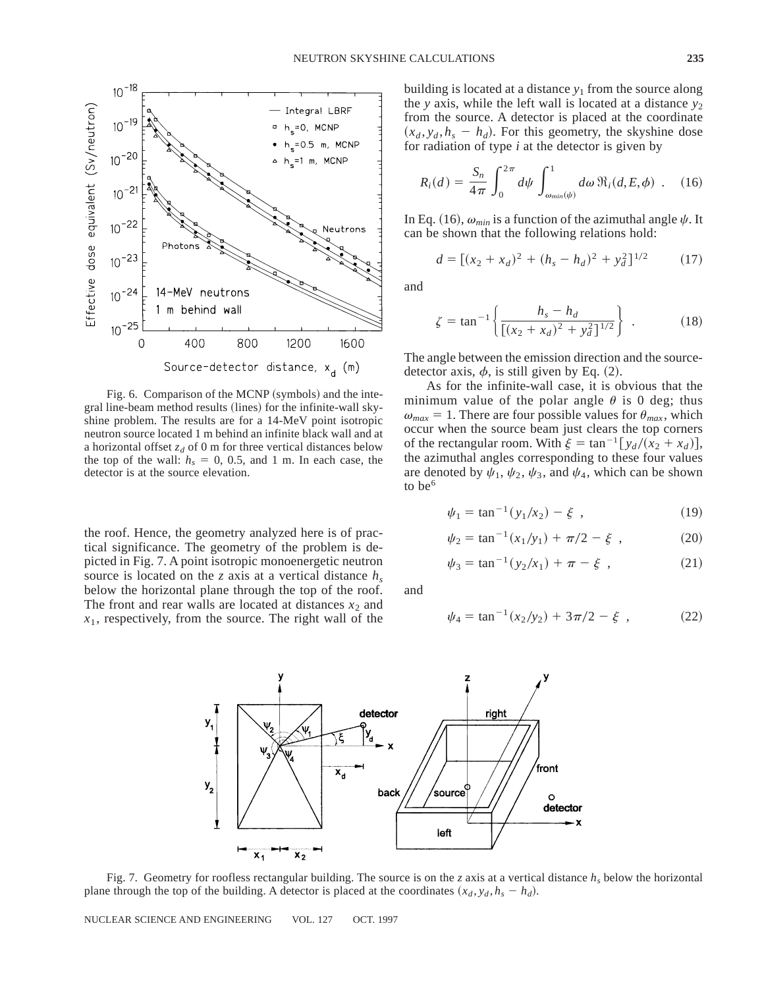

Fig. 6. Comparison of the MCNP (symbols) and the integral line-beam method results (lines) for the infinite-wall skyshine problem. The results are for a 14-MeV point isotropic neutron source located 1 m behind an infinite black wall and at a horizontal offset  $z_d$  of 0 m for three vertical distances below the top of the wall:  $h_s = 0$ , 0.5, and 1 m. In each case, the detector is at the source elevation.

the roof. Hence, the geometry analyzed here is of practical significance. The geometry of the problem is depicted in Fig. 7. A point isotropic monoenergetic neutron source is located on the *z* axis at a vertical distance *hs* below the horizontal plane through the top of the roof. The front and rear walls are located at distances  $x_2$  and *x*1, respectively, from the source. The right wall of the

building is located at a distance  $y_1$  from the source along the *y* axis, while the left wall is located at a distance *y*<sup>2</sup> from the source. A detector is placed at the coordinate  $(x_d, y_d, h_s - h_d)$ . For this geometry, the skyshine dose for radiation of type *i* at the detector is given by

$$
R_i(d) = \frac{S_n}{4\pi} \int_0^{2\pi} d\psi \int_{\omega_{min}(\psi)}^1 d\omega \, \Re_i(d, E, \phi) \quad . \quad (16)
$$

In Eq. (16),  $\omega_{min}$  is a function of the azimuthal angle  $\psi$ . It can be shown that the following relations hold:

$$
d = [(x_2 + x_d)^2 + (h_s - h_d)^2 + y_d^2]^{1/2}
$$
 (17)

and

$$
\zeta = \tan^{-1} \left\{ \frac{h_s - h_d}{\left[ (x_2 + x_d)^2 + y_d^2 \right]^{1/2}} \right\} \ . \tag{18}
$$

The angle between the emission direction and the sourcedetector axis,  $\phi$ , is still given by Eq. (2).

As for the infinite-wall case, it is obvious that the minimum value of the polar angle  $\theta$  is 0 deg; thus  $\omega_{max} = 1$ . There are four possible values for  $\theta_{max}$ , which occur when the source beam just clears the top corners of the rectangular room. With  $\xi = \tan^{-1} [y_d / (x_2 + x_d)],$ the azimuthal angles corresponding to these four values are denoted by  $\psi_1, \psi_2, \psi_3$ , and  $\psi_4$ , which can be shown to be $<sup>6</sup>$ </sup>

$$
\psi_1 = \tan^{-1}(y_1/x_2) - \xi \tag{19}
$$

$$
\psi_2 = \tan^{-1}(x_1/y_1) + \pi/2 - \xi \tag{20}
$$

$$
\psi_3 = \tan^{-1}(y_2/x_1) + \pi - \xi \tag{21}
$$

and

$$
\psi_4 = \tan^{-1}(x_2/y_2) + 3\pi/2 - \xi \tag{22}
$$



Fig. 7. Geometry for roofless rectangular building. The source is on the *z* axis at a vertical distance *hs* below the horizontal plane through the top of the building. A detector is placed at the coordinates  $(x_d, y_d, h_s - h_d)$ .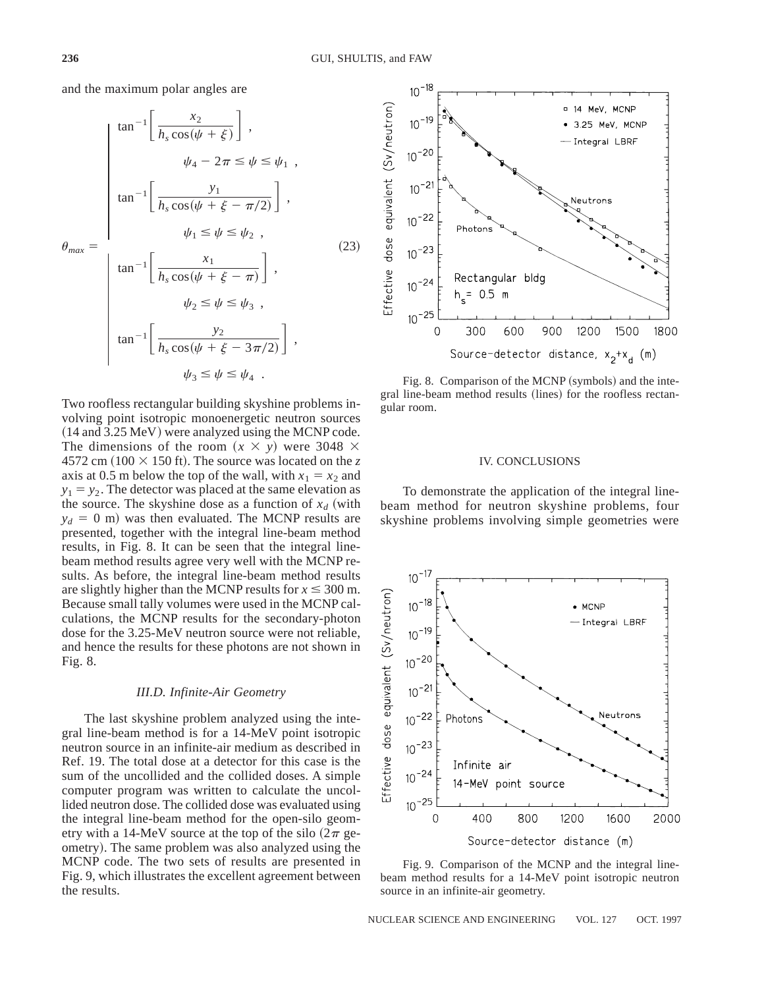and the maximum polar angles are

$$
\theta_{\max} = \begin{cases}\n\tan^{-1}\left[\frac{x_2}{h_s \cos(\psi + \xi)}\right], \\
\psi_4 - 2\pi \le \psi \le \psi_1, \\
\tan^{-1}\left[\frac{y_1}{h_s \cos(\psi + \xi - \pi/2)}\right], \\
\psi_1 \le \psi \le \psi_2, \\
\tan^{-1}\left[\frac{x_1}{h_s \cos(\psi + \xi - \pi)}\right], \\
\psi_2 \le \psi \le \psi_3, \\
\tan^{-1}\left[\frac{y_2}{h_s \cos(\psi + \xi - 3\pi/2)}\right], \\
\psi_3 \le \psi \le \psi_4.\n\end{cases}
$$
\n(23)

Two roofless rectangular building skyshine problems involving point isotropic monoenergetic neutron sources  $(14$  and 3.25 MeV) were analyzed using the MCNP code. The dimensions of the room  $(x \times y)$  were 3048  $\times$ 4572 cm  $(100 \times 150$  ft). The source was located on the z axis at 0.5 m below the top of the wall, with  $x_1 = x_2$  and  $y_1 = y_2$ . The detector was placed at the same elevation as the source. The skyshine dose as a function of  $x_d$  (with  $y_d = 0$  m) was then evaluated. The MCNP results are presented, together with the integral line-beam method results, in Fig. 8. It can be seen that the integral linebeam method results agree very well with the MCNP results. As before, the integral line-beam method results are slightly higher than the MCNP results for  $x \le 300$  m. Because small tally volumes were used in the MCNP calculations, the MCNP results for the secondary-photon dose for the 3.25-MeV neutron source were not reliable, and hence the results for these photons are not shown in Fig. 8.

### *III.D. Infinite-Air Geometry*

The last skyshine problem analyzed using the integral line-beam method is for a 14-MeV point isotropic neutron source in an infinite-air medium as described in Ref. 19. The total dose at a detector for this case is the sum of the uncollided and the collided doses. A simple computer program was written to calculate the uncollided neutron dose. The collided dose was evaluated using the integral line-beam method for the open-silo geometry with a 14-MeV source at the top of the silo  $(2\pi$  geometry). The same problem was also analyzed using the MCNP code. The two sets of results are presented in Fig. 9, which illustrates the excellent agreement between the results.



Fig. 8. Comparison of the MCNP (symbols) and the integral line-beam method results (lines) for the roofless rectangular room.

# IV. CONCLUSIONS

To demonstrate the application of the integral linebeam method for neutron skyshine problems, four skyshine problems involving simple geometries were



Fig. 9. Comparison of the MCNP and the integral linebeam method results for a 14-MeV point isotropic neutron source in an infinite-air geometry.